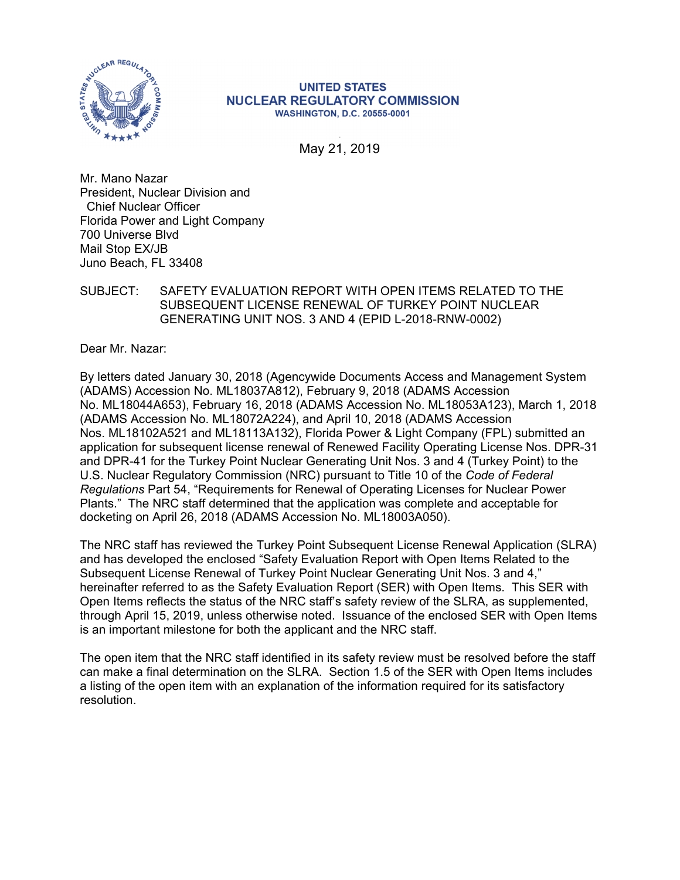

### **UNITED STATES NUCLEAR REGULATORY COMMISSION WASHINGTON, D.C. 20555-0001**

. May 21, 2019

Mr. Mano Nazar President, Nuclear Division and Chief Nuclear Officer Florida Power and Light Company 700 Universe Blvd Mail Stop EX/JB Juno Beach, FL 33408

# SUBJECT: SAFETY EVALUATION REPORT WITH OPEN ITEMS RELATED TO THE SUBSEQUENT LICENSE RENEWAL OF TURKEY POINT NUCLEAR GENERATING UNIT NOS. 3 AND 4 (EPID L-2018-RNW-0002)

Dear Mr. Nazar:

By letters dated January 30, 2018 (Agencywide Documents Access and Management System (ADAMS) Accession No. ML18037A812), February 9, 2018 (ADAMS Accession No. ML18044A653), February 16, 2018 (ADAMS Accession No. ML18053A123), March 1, 2018 (ADAMS Accession No. ML18072A224), and April 10, 2018 (ADAMS Accession Nos. ML18102A521 and ML18113A132), Florida Power & Light Company (FPL) submitted an application for subsequent license renewal of Renewed Facility Operating License Nos. DPR-31 and DPR-41 for the Turkey Point Nuclear Generating Unit Nos. 3 and 4 (Turkey Point) to the U.S. Nuclear Regulatory Commission (NRC) pursuant to Title 10 of the *Code of Federal Regulations* Part 54, "Requirements for Renewal of Operating Licenses for Nuclear Power Plants." The NRC staff determined that the application was complete and acceptable for docketing on April 26, 2018 (ADAMS Accession No. ML18003A050).

The NRC staff has reviewed the Turkey Point Subsequent License Renewal Application (SLRA) and has developed the enclosed "Safety Evaluation Report with Open Items Related to the Subsequent License Renewal of Turkey Point Nuclear Generating Unit Nos. 3 and 4," hereinafter referred to as the Safety Evaluation Report (SER) with Open Items. This SER with Open Items reflects the status of the NRC staff's safety review of the SLRA, as supplemented, through April 15, 2019, unless otherwise noted. Issuance of the enclosed SER with Open Items is an important milestone for both the applicant and the NRC staff.

The open item that the NRC staff identified in its safety review must be resolved before the staff can make a final determination on the SLRA. Section 1.5 of the SER with Open Items includes a listing of the open item with an explanation of the information required for its satisfactory resolution.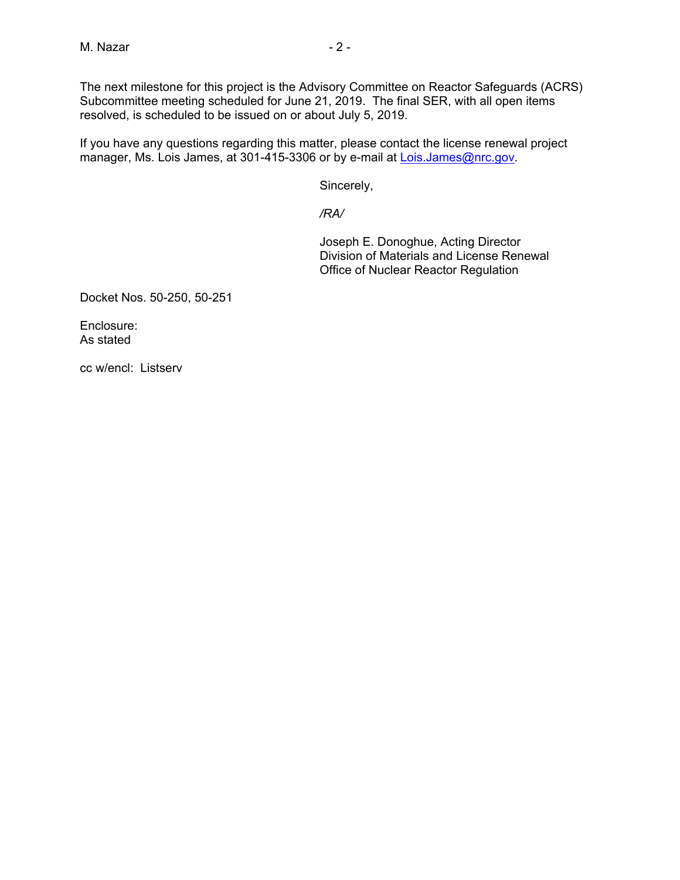The next milestone for this project is the Advisory Committee on Reactor Safeguards (ACRS) Subcommittee meeting scheduled for June 21, 2019. The final SER, with all open items resolved, is scheduled to be issued on or about July 5, 2019.

If you have any questions regarding this matter, please contact the license renewal project manager, Ms. Lois James, at 301-415-3306 or by e-mail at Lois.James@nrc.gov.

Sincerely,

*/RA/*

 Joseph E. Donoghue, Acting Director Division of Materials and License Renewal Office of Nuclear Reactor Regulation

Docket Nos. 50-250, 50-251

Enclosure: As stated

cc w/encl: Listserv